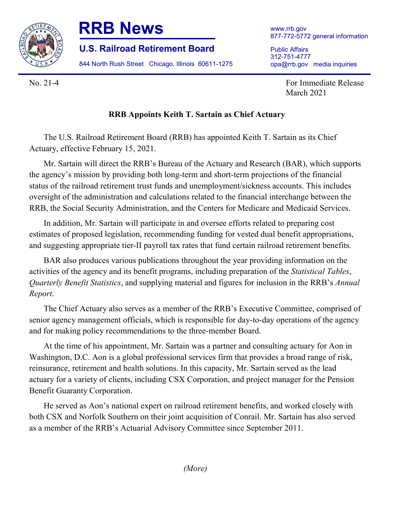



**U.S. Railroad Retirement Board**

844 North Rush Street Chicago, Illinois 60611-1275

www.rrb.gov 877-772-5772 general information

Public Affairs 312-751-4777 opa@rrb.gov media inquiries

No. 21-4 For Immediate Release March 2021

## **RRB Appoints Keith T. Sartain as Chief Actuary**

The U.S. Railroad Retirement Board (RRB) has appointed Keith T. Sartain as its Chief Actuary, effective February 15, 2021.

Mr. Sartain will direct the RRB's Bureau of the Actuary and Research (BAR), which supports the agency's mission by providing both long-term and short-term projections of the financial status of the railroad retirement trust funds and unemployment/sickness accounts. This includes oversight of the administration and calculations related to the financial interchange between the RRB, the Social Security Administration, and the Centers for Medicare and Medicaid Services.

In addition, Mr. Sartain will participate in and oversee efforts related to preparing cost estimates of proposed legislation, recommending funding for vested dual benefit appropriations, and suggesting appropriate tier-II payroll tax rates that fund certain railroad retirement benefits.

BAR also produces various publications throughout the year providing information on the activities of the agency and its benefit programs, including preparation of the *Statistical Tables*, *Quarterly Benefit Statistics*, and supplying material and figures for inclusion in the RRB's *Annual Report*.

The Chief Actuary also serves as a member of the RRB's Executive Committee, comprised of senior agency management officials, which is responsible for day-to-day operations of the agency and for making policy recommendations to the three-member Board.

At the time of his appointment, Mr. Sartain was a partner and consulting actuary for Aon in Washington, D.C. Aon is a global professional services firm that provides a broad range of risk, reinsurance, retirement and health solutions. In this capacity, Mr. Sartain served as the lead actuary for a variety of clients, including CSX Corporation, and project manager for the Pension Benefit Guaranty Corporation.

He served as Aon's national expert on railroad retirement benefits, and worked closely with both CSX and Norfolk Southern on their joint acquisition of Conrail. Mr. Sartain has also served as a member of the RRB's Actuarial Advisory Committee since September 2011.